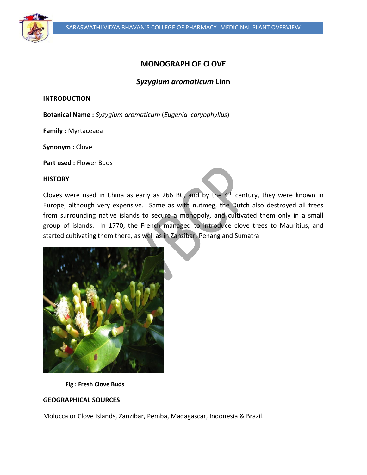

# **MONOGRAPH OF CLOVE**

# *Syzygium aromaticum* **Linn**

**INTRODUCTION**

**Botanical Name :** *Syzygium aromaticum* (*Eugenia caryophyllus*)

**Family :** Myrtaceaea

**Synonym :** Clove

**Part used :** Flower Buds

#### **HISTORY**

Cloves were used in China as early as 266 BC, and by the  $4<sup>th</sup>$  century, they were known in Europe, although very expensive. Same as with nutmeg, the Dutch also destroyed all trees from surrounding native islands to secure a monopoly, and cultivated them only in a small group of islands. In 1770, the French managed to introduce clove trees to Mauritius, and started cultivating them there, as well as in Zanzibar, Penang and Sumatra



 **Fig : Fresh Clove Buds**

## **GEOGRAPHICAL SOURCES**

Molucca or Clove Islands, Zanzibar, Pemba, Madagascar, Indonesia & Brazil.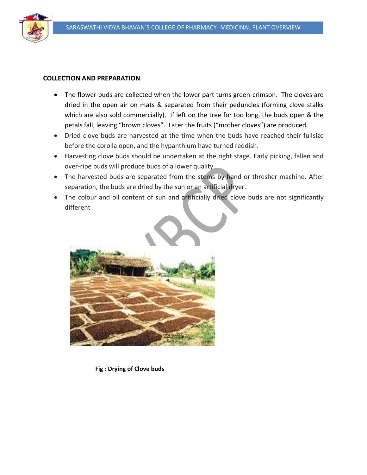

#### **COLLECTION AND PREPARATION**

- The flower buds are collected when the lower part turns green-crimson. The cloves are dried in the open air on mats & separated from their peduncles (forming clove stalks which are also sold commercially). If left on the tree for too long, the buds open & the petals fall, leaving "brown cloves". Later the fruits ("mother cloves") are produced.
- Dried clove buds are harvested at the time when the buds have reached their fullsize before the corolla open, and the hypanthium have turned reddish.
- Harvesting clove buds should be undertaken at the right stage. Early picking, fallen and over-ripe buds will produce buds of a lower quality
- The harvested buds are separated from the stems by hand or thresher machine. After separation, the buds are dried by the sun or an artificial dryer.
- The colour and oil content of sun and artificially dried clove buds are not significantly different



 **Fig : Drying of Clove buds**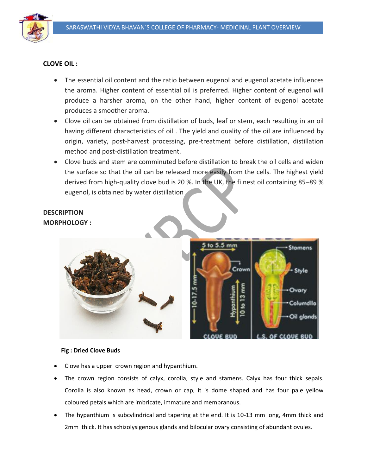

## **CLOVE OIL :**

- The essential oil content and the ratio between eugenol and eugenol acetate influences the aroma. Higher content of essential oil is preferred. Higher content of eugenol will produce a harsher aroma, on the other hand, higher content of eugenol acetate produces a smoother aroma.
- Clove oil can be obtained from distillation of buds, leaf or stem, each resulting in an oil having different characteristics of oil . The yield and quality of the oil are influenced by origin, variety, post-harvest processing, pre-treatment before distillation, distillation method and post-distillation treatment.
- Clove buds and stem are comminuted before distillation to break the oil cells and widen the surface so that the oil can be released more easily from the cells. The highest yield derived from high-quality clove bud is 20 %. In the UK, the fi nest oil containing 85–89 % eugenol, is obtained by water distillation

# **DESCRIPTION MORPHOLOGY :**



## **Fig : Dried Clove Buds**

- Clove has a upper crown region and hypanthium.
- The crown region consists of calyx, corolla, style and stamens. Calyx has four thick sepals. Corolla is also known as head, crown or cap, it is dome shaped and has four pale yellow coloured petals which are imbricate, immature and membranous.
- The hypanthium is subcylindrical and tapering at the end. It is 10-13 mm long, 4mm thick and 2mm thick. It has schizolysigenous glands and bilocular ovary consisting of abundant ovules.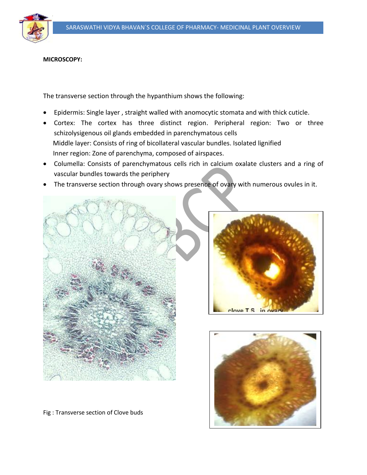

## **MICROSCOPY:**

The transverse section through the hypanthium shows the following:

- Epidermis: Single layer , straight walled with anomocytic stomata and with thick cuticle.
- Cortex: The cortex has three distinct region. Peripheral region: Two or three schizolysigenous oil glands embedded in parenchymatous cells Middle layer: Consists of ring of bicollateral vascular bundles. Isolated lignified Inner region: Zone of parenchyma, composed of airspaces.
- Columella: Consists of parenchymatous cells rich in calcium oxalate clusters and a ring of vascular bundles towards the periphery
- The transverse section through ovary shows presence of ovary with numerous ovules in it.







Fig : Transverse section of Clove buds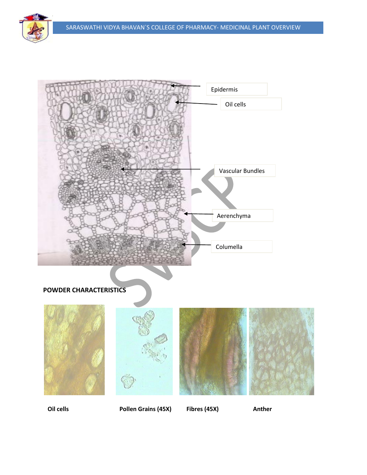

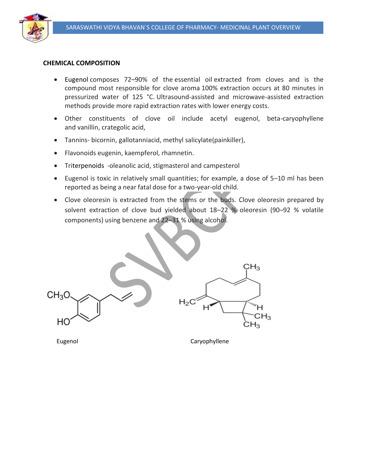

### **CHEMICAL COMPOSITION**

- Eugenol composes 72–90% of the essential oil extracted from cloves and is the compound most responsible for clove aroma 100% extraction occurs at 80 minutes in pressurized water of 125 °C. Ultrasound-assisted and microwave-assisted extraction methods provide more rapid extraction rates with lower energy costs.
- Other constituents of clove oil include acetyl eugenol, beta-caryophyllene and vanillin, crategolic acid,
- Tannins- bicornin, gallotanniacid, methyl salicylate(painkiller),
- Flavonoids eugenin, kaempferol, rhamnetin.
- Triterpenoids -oleanolic acid, stigmasterol and campesterol
- Eugenol is toxic in relatively small quantities; for example, a dose of 5–10 ml has been reported as being a near fatal dose for a two-year-old child.
- Clove oleoresin is extracted from the stems or the buds. Clove oleoresin prepared by solvent extraction of clove bud yielded about 18–22 % oleoresin (90–92 % volatile components) using benzene and 22–31 % using alcohol.

 $\mathsf{CH}_3$  $CH<sub>3</sub>O$  $H<sub>2</sub>$ w"  $CH_3$ HС  $CH_3$ 

Eugenol **Caryophyllene**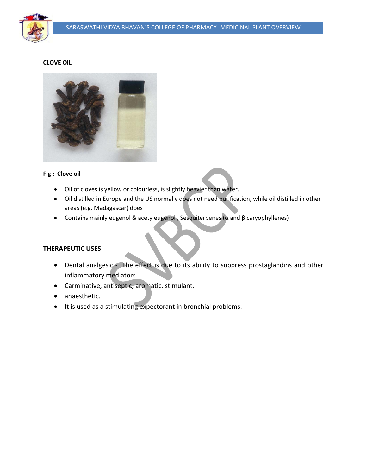

# **CLOVE OIL**



#### **Fig : Clove oil**

- Oil of cloves is yellow or colourless, is slightly heavier than water.
- Oil distilled in Europe and the US normally does not need purification, while oil distilled in other areas (e.g. Madagascar) does
- Contains mainly eugenol & acetyleugenol , Sesquiterpenes (α and β caryophyllenes)

## **THERAPEUTIC USES**

- Dental analgesic The effect is due to its ability to suppress prostaglandins and other inflammatory mediators
- Carminative, antiseptic, aromatic, stimulant.
- anaesthetic.
- It is used as a stimulating expectorant in bronchial problems.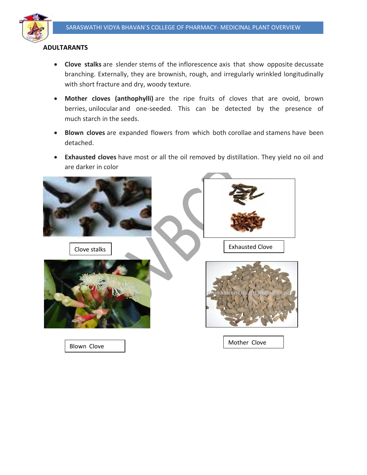

## **ADULTARANTS**

- **Clove stalks** are slender stems of the inflorescence axis that show opposite decussate branching. Externally, they are brownish, rough, and irregularly wrinkled longitudinally with short fracture and dry, woody texture.
- **Mother cloves (anthophylli)** are the ripe fruits of cloves that are ovoid, brown berries, unilocular and one-seeded. This can be detected by the presence of much starch in the seeds.
- **Blown cloves** are expanded flowers from which both corollae and stamens have been detached.
- **Exhausted cloves** have most or all the oil removed by distillation. They yield no oil and are darker in color